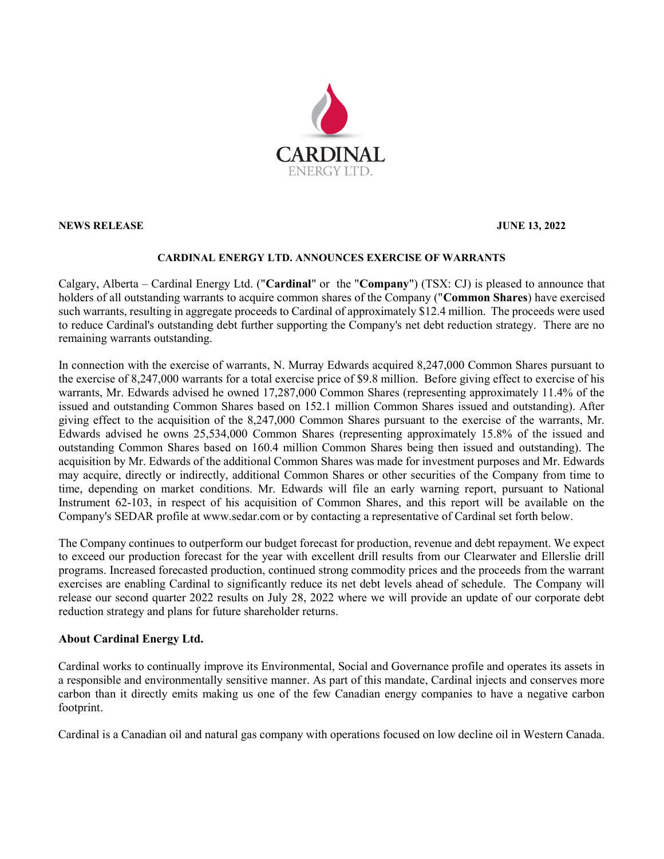

NEWS RELEASE JUNE 13, 2022

## CARDINAL ENERGY LTD. ANNOUNCES EXERCISE OF WARRANTS

Calgary, Alberta – Cardinal Energy Ltd. ("Cardinal" or the "Company") (TSX: CJ) is pleased to announce that holders of all outstanding warrants to acquire common shares of the Company ("Common Shares) have exercised such warrants, resulting in aggregate proceeds to Cardinal of approximately \$12.4 million. The proceeds were used to reduce Cardinal's outstanding debt further supporting the Company's net debt reduction strategy. There are no remaining warrants outstanding.

In connection with the exercise of warrants, N. Murray Edwards acquired 8,247,000 Common Shares pursuant to the exercise of 8,247,000 warrants for a total exercise price of \$9.8 million. Before giving effect to exercise of his warrants, Mr. Edwards advised he owned 17,287,000 Common Shares (representing approximately 11.4% of the issued and outstanding Common Shares based on 152.1 million Common Shares issued and outstanding). After giving effect to the acquisition of the 8,247,000 Common Shares pursuant to the exercise of the warrants, Mr. Edwards advised he owns 25,534,000 Common Shares (representing approximately 15.8% of the issued and outstanding Common Shares based on 160.4 million Common Shares being then issued and outstanding). The acquisition by Mr. Edwards of the additional Common Shares was made for investment purposes and Mr. Edwards may acquire, directly or indirectly, additional Common Shares or other securities of the Company from time to time, depending on market conditions. Mr. Edwards will file an early warning report, pursuant to National Instrument 62-103, in respect of his acquisition of Common Shares, and this report will be available on the Company's SEDAR profile at www.sedar.com or by contacting a representative of Cardinal set forth below.

The Company continues to outperform our budget forecast for production, revenue and debt repayment. We expect to exceed our production forecast for the year with excellent drill results from our Clearwater and Ellerslie drill programs. Increased forecasted production, continued strong commodity prices and the proceeds from the warrant exercises are enabling Cardinal to significantly reduce its net debt levels ahead of schedule. The Company will release our second quarter 2022 results on July 28, 2022 where we will provide an update of our corporate debt reduction strategy and plans for future shareholder returns.

## About Cardinal Energy Ltd.

Cardinal works to continually improve its Environmental, Social and Governance profile and operates its assets in a responsible and environmentally sensitive manner. As part of this mandate, Cardinal injects and conserves more carbon than it directly emits making us one of the few Canadian energy companies to have a negative carbon footprint.

Cardinal is a Canadian oil and natural gas company with operations focused on low decline oil in Western Canada.